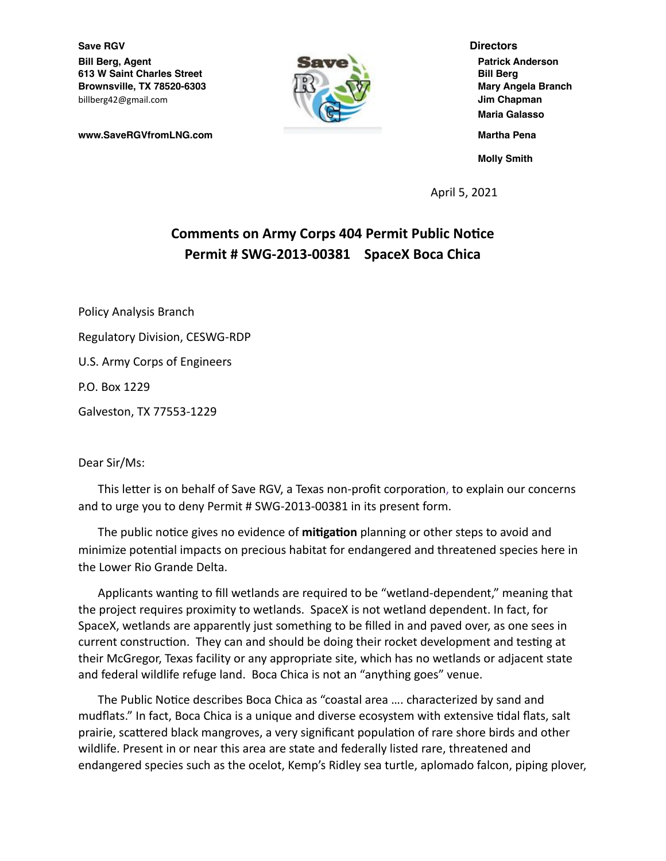**Save RGV Directors Bill Berg, Agent Contract Contract Contract Contract Contract Contract Contract Patrick Anderson 613 W Saint Charles Street Bill Berg Brownsville, TX 78520-6303** Mary Angela Branch billberg42@gmail.com **Jim Chapman**



**Maria Galasso www.SaveRGVfromLNG.com Martha Pena Molly Smith**

April 5, 2021

## **Comments on Army Corps 404 Permit Public Notice Permit # SWG-2013-00381 SpaceX Boca Chica**

Policy Analysis Branch Regulatory Division, CESWG-RDP U.S. Army Corps of Engineers P.O. Box 1229 Galveston, TX 77553-1229

## Dear Sir/Ms:

This letter is on behalf of Save RGV, a Texas non-profit corporation, to explain our concerns and to urge you to deny Permit # SWG-2013-00381 in its present form.

The public notice gives no evidence of mitigation planning or other steps to avoid and minimize potential impacts on precious habitat for endangered and threatened species here in the Lower Rio Grande Delta.

Applicants wanting to fill wetlands are required to be "wetland-dependent," meaning that the project requires proximity to wetlands. SpaceX is not wetland dependent. In fact, for SpaceX, wetlands are apparently just something to be filled in and paved over, as one sees in current construction. They can and should be doing their rocket development and testing at their McGregor, Texas facility or any appropriate site, which has no wetlands or adjacent state and federal wildlife refuge land. Boca Chica is not an "anything goes" venue.

The Public Notice describes Boca Chica as "coastal area .... characterized by sand and mudflats." In fact, Boca Chica is a unique and diverse ecosystem with extensive tidal flats, salt prairie, scattered black mangroves, a very significant population of rare shore birds and other wildlife. Present in or near this area are state and federally listed rare, threatened and endangered species such as the ocelot, Kemp's Ridley sea turtle, aplomado falcon, piping plover,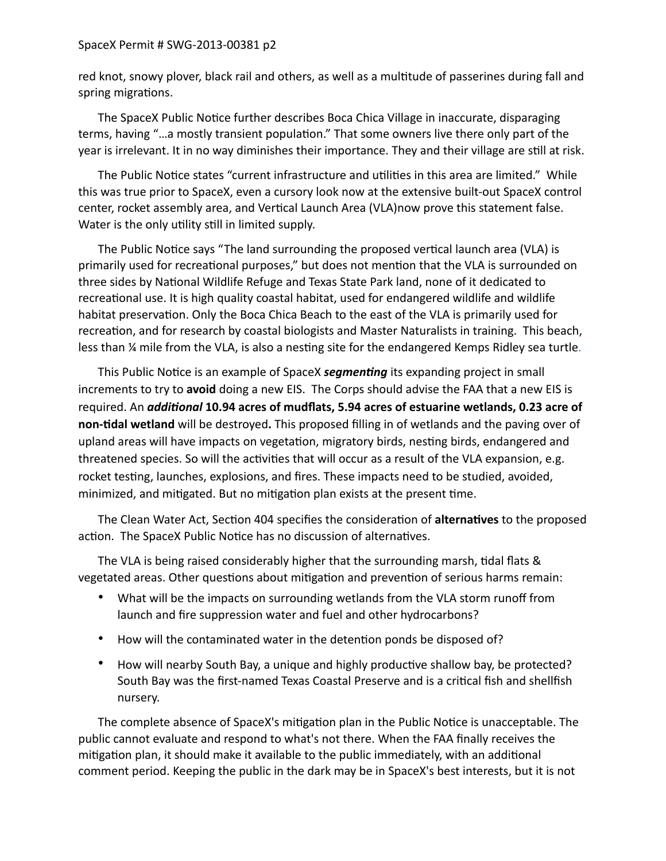## SpaceX Permit # SWG-2013-00381 p2

red knot, snowy plover, black rail and others, as well as a multitude of passerines during fall and spring migrations.

The SpaceX Public Notice further describes Boca Chica Village in inaccurate, disparaging terms, having "...a mostly transient population." That some owners live there only part of the year is irrelevant. It in no way diminishes their importance. They and their village are still at risk.

The Public Notice states "current infrastructure and utilities in this area are limited." While this was true prior to SpaceX, even a cursory look now at the extensive built-out SpaceX control center, rocket assembly area, and Vertical Launch Area (VLA)now prove this statement false. Water is the only utility still in limited supply.

The Public Notice says "The land surrounding the proposed vertical launch area (VLA) is primarily used for recreational purposes," but does not mention that the VLA is surrounded on three sides by National Wildlife Refuge and Texas State Park land, none of it dedicated to recreational use. It is high quality coastal habitat, used for endangered wildlife and wildlife habitat preservation. Only the Boca Chica Beach to the east of the VLA is primarily used for recreation, and for research by coastal biologists and Master Naturalists in training. This beach, less than  $\frac{1}{4}$  mile from the VLA, is also a nesting site for the endangered Kemps Ridley sea turtle.

This Public Notice is an example of SpaceX *segmenting* its expanding project in small increments to try to **avoid** doing a new EIS. The Corps should advise the FAA that a new EIS is required. An *additional* 10.94 acres of mudflats, 5.94 acres of estuarine wetlands, 0.23 acre of **non-6dal wetland** will be destroyed**.** This proposed filling in of wetlands and the paving over of upland areas will have impacts on vegetation, migratory birds, nesting birds, endangered and threatened species. So will the activities that will occur as a result of the VLA expansion, e.g. rocket testing, launches, explosions, and fires. These impacts need to be studied, avoided, minimized, and mitigated. But no mitigation plan exists at the present time.

The Clean Water Act, Section 404 specifies the consideration of alternatives to the proposed action. The SpaceX Public Notice has no discussion of alternatives.

The VLA is being raised considerably higher that the surrounding marsh, tidal flats  $\&$ vegetated areas. Other questions about mitigation and prevention of serious harms remain:

- What will be the impacts on surrounding wetlands from the VLA storm runoff from launch and fire suppression water and fuel and other hydrocarbons?
- How will the contaminated water in the detention ponds be disposed of?
- How will nearby South Bay, a unique and highly productive shallow bay, be protected? South Bay was the first-named Texas Coastal Preserve and is a critical fish and shellfish nursery.

The complete absence of SpaceX's mitigation plan in the Public Notice is unacceptable. The public cannot evaluate and respond to what's not there. When the FAA finally receives the mitigation plan, it should make it available to the public immediately, with an additional comment period. Keeping the public in the dark may be in SpaceX's best interests, but it is not